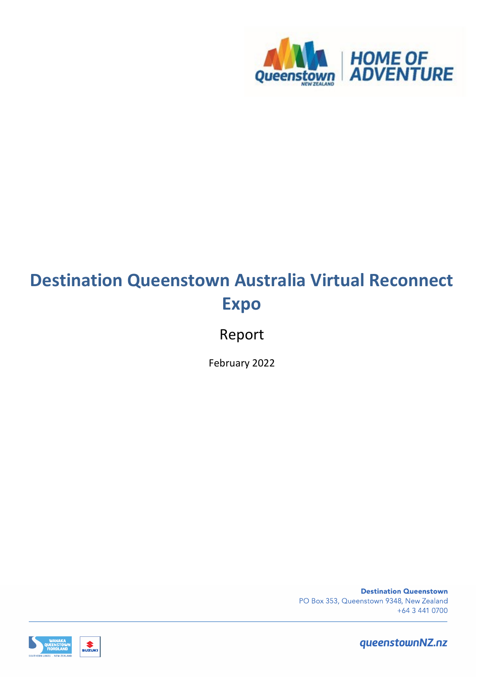

# **Destination Queenstown Australia Virtual Reconnect Expo**

## Report

February 2022

**Destination Queenstown** PO Box 353, Queenstown 9348, New Zealand +64 3 441 0700



 $\sum_{\text{SUZUK}}$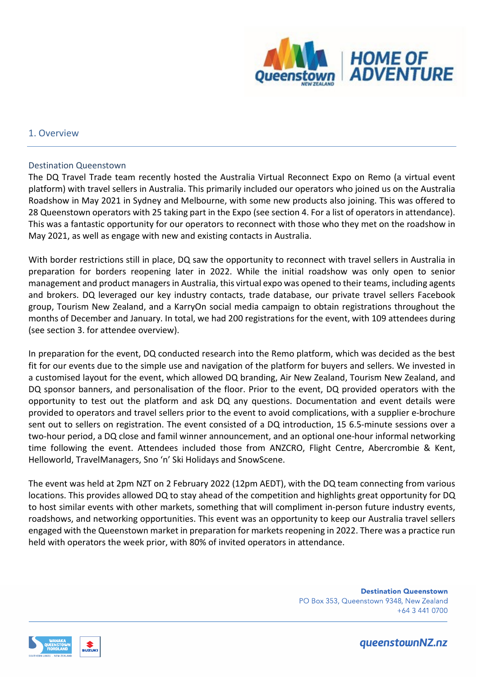

#### 1. Overview

#### Destination Queenstown

The DQ Travel Trade team recently hosted the Australia Virtual Reconnect Expo on Remo (a virtual event platform) with travel sellers in Australia. This primarily included our operators who joined us on the Australia Roadshow in May 2021 in Sydney and Melbourne, with some new products also joining. This was offered to 28 Queenstown operators with 25 taking part in the Expo (see section 4. For a list of operators in attendance). This was a fantastic opportunity for our operators to reconnect with those who they met on the roadshow in May 2021, as well as engage with new and existing contacts in Australia.

With border restrictions still in place, DQ saw the opportunity to reconnect with travel sellers in Australia in preparation for borders reopening later in 2022. While the initial roadshow was only open to senior management and product managers in Australia, this virtual expo was opened to their teams, including agents and brokers. DQ leveraged our key industry contacts, trade database, our private travel sellers Facebook group, Tourism New Zealand, and a KarryOn social media campaign to obtain registrations throughout the months of December and January. In total, we had 200 registrations for the event, with 109 attendees during (see section 3. for attendee overview).

In preparation for the event, DQ conducted research into the Remo platform, which was decided as the best fit for our events due to the simple use and navigation of the platform for buyers and sellers. We invested in a customised layout for the event, which allowed DQ branding, Air New Zealand, Tourism New Zealand, and DQ sponsor banners, and personalisation of the floor. Prior to the event, DQ provided operators with the opportunity to test out the platform and ask DQ any questions. Documentation and event details were provided to operators and travel sellers prior to the event to avoid complications, with a supplier e-brochure sent out to sellers on registration. The event consisted of a DQ introduction, 15 6.5-minute sessions over a two-hour period, a DQ close and famil winner announcement, and an optional one-hour informal networking time following the event. Attendees included those from ANZCRO, Flight Centre, Abercrombie & Kent, Helloworld, TravelManagers, Sno 'n' Ski Holidays and SnowScene.

The event was held at 2pm NZT on 2 February 2022 (12pm AEDT), with the DQ team connecting from various locations. This provides allowed DQ to stay ahead of the competition and highlights great opportunity for DQ to host similar events with other markets, something that will compliment in-person future industry events, roadshows, and networking opportunities. This event was an opportunity to keep our Australia travel sellers engaged with the Queenstown market in preparation for markets reopening in 2022. There was a practice run held with operators the week prior, with 80% of invited operators in attendance.

> **Destination Queenstown** PO Box 353, Queenstown 9348, New Zealand +64 3 441 0700

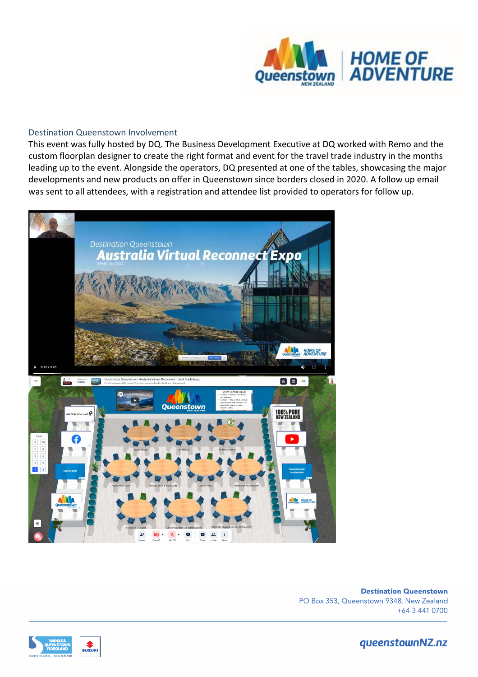

#### Destination Queenstown Involvement

This event was fully hosted by DQ. The Business Development Executive at DQ worked with Remo and the custom floorplan designer to create the right format and event for the travel trade industry in the months leading up to the event. Alongside the operators, DQ presented at one of the tables, showcasing the major developments and new products on offer in Queenstown since borders closed in 2020. A follow up email was sent to all attendees, with a registration and attendee list provided to operators for follow up.



**Destination Queenstown** PO Box 353, Queenstown 9348, New Zealand +64 3 441 0700



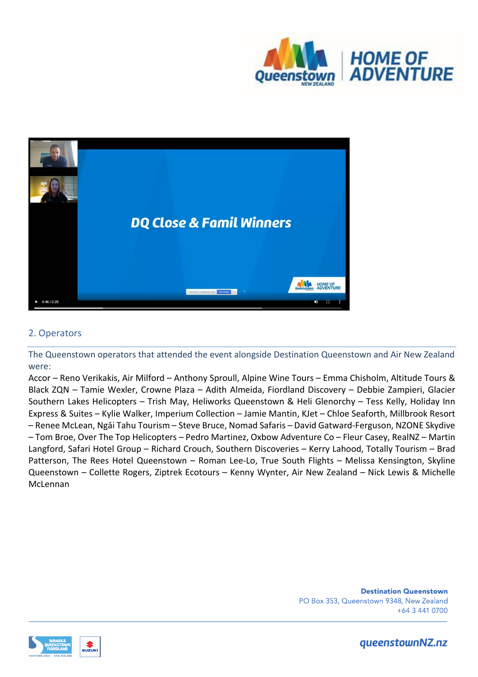



### 2. Operators

The Queenstown operators that attended the event alongside Destination Queenstown and Air New Zealand were:

Accor – Reno Verikakis, Air Milford – Anthony Sproull, Alpine Wine Tours – Emma Chisholm, Altitude Tours & Black ZQN – Tamie Wexler, Crowne Plaza – Adith Almeida, Fiordland Discovery – Debbie Zampieri, Glacier Southern Lakes Helicopters – Trish May, Heliworks Queenstown & Heli Glenorchy – Tess Kelly, Holiday Inn Express & Suites – Kylie Walker, Imperium Collection – Jamie Mantin, KJet – Chloe Seaforth, Millbrook Resort – Renee McLean, Ngāi Tahu Tourism – Steve Bruce, Nomad Safaris – David Gatward-Ferguson, NZONE Skydive – Tom Broe, Over The Top Helicopters – Pedro Martinez, Oxbow Adventure Co – Fleur Casey, RealNZ – Martin Langford, Safari Hotel Group – Richard Crouch, Southern Discoveries – Kerry Lahood, Totally Tourism – Brad Patterson, The Rees Hotel Queenstown – Roman Lee-Lo, True South Flights – Melissa Kensington, Skyline Queenstown – Collette Rogers, Ziptrek Ecotours – Kenny Wynter, Air New Zealand – Nick Lewis & Michelle McLennan

> **Destination Queenstown** PO Box 353, Queenstown 9348, New Zealand +64 3 441 0700

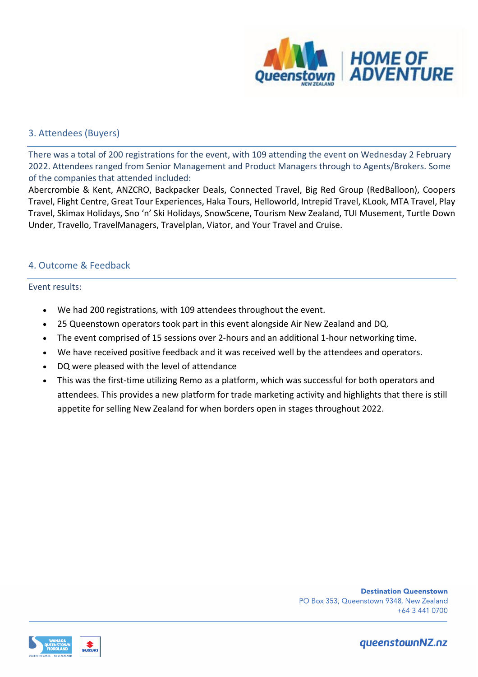

#### 3. Attendees (Buyers)

There was a total of 200 registrations for the event, with 109 attending the event on Wednesday 2 February 2022. Attendees ranged from Senior Management and Product Managers through to Agents/Brokers. Some of the companies that attended included:

Abercrombie & Kent, ANZCRO, Backpacker Deals, Connected Travel, Big Red Group (RedBalloon), Coopers Travel, Flight Centre, Great Tour Experiences, Haka Tours, Helloworld, Intrepid Travel, KLook, MTA Travel, Play Travel, Skimax Holidays, Sno 'n' Ski Holidays, SnowScene, Tourism New Zealand, TUI Musement, Turtle Down Under, Travello, TravelManagers, Travelplan, Viator, and Your Travel and Cruise.

#### 4. Outcome & Feedback

#### Event results:

- We had 200 registrations, with 109 attendees throughout the event.
- 25 Queenstown operators took part in this event alongside Air New Zealand and DQ.
- The event comprised of 15 sessions over 2-hours and an additional 1-hour networking time.
- We have received positive feedback and it was received well by the attendees and operators.
- DQ were pleased with the level of attendance
- This was the first-time utilizing Remo as a platform, which was successful for both operators and attendees. This provides a new platform for trade marketing activity and highlights that there is still appetite for selling New Zealand for when borders open in stages throughout 2022.

**Destination Queenstown** PO Box 353, Queenstown 9348, New Zealand +64 3 441 0700

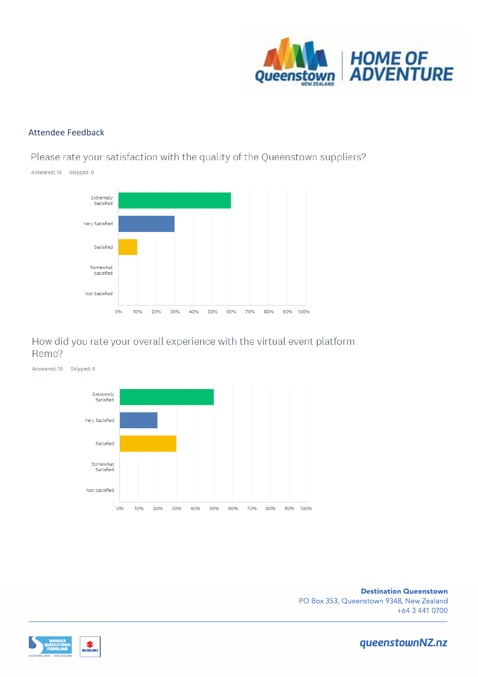

#### Attendee Feedback

Please rate your satisfaction with the quality of the Queenstown suppliers?



## How did you rate your overall experience with the virtual event platform Remo?



**Destination Queenstown** PO Box 353, Queenstown 9348, New Zealand +64 3 441 0700

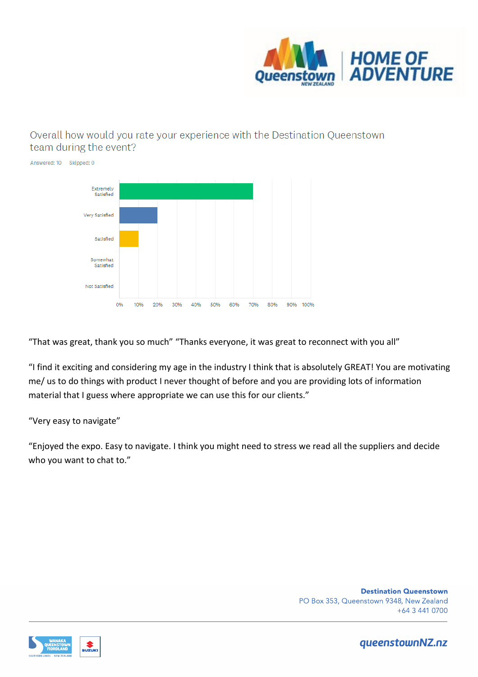

## Overall how would you rate your experience with the Destination Queenstown team during the event?



"That was great, thank you so much" "Thanks everyone, it was great to reconnect with you all"

"I find it exciting and considering my age in the industry I think that is absolutely GREAT! You are motivating me/ us to do things with product I never thought of before and you are providing lots of information material that I guess where appropriate we can use this for our clients."

#### "Very easy to navigate"

"Enjoyed the expo. Easy to navigate. I think you might need to stress we read all the suppliers and decide who you want to chat to."

> **Destination Queenstown** PO Box 353, Queenstown 9348, New Zealand +64 3 441 0700

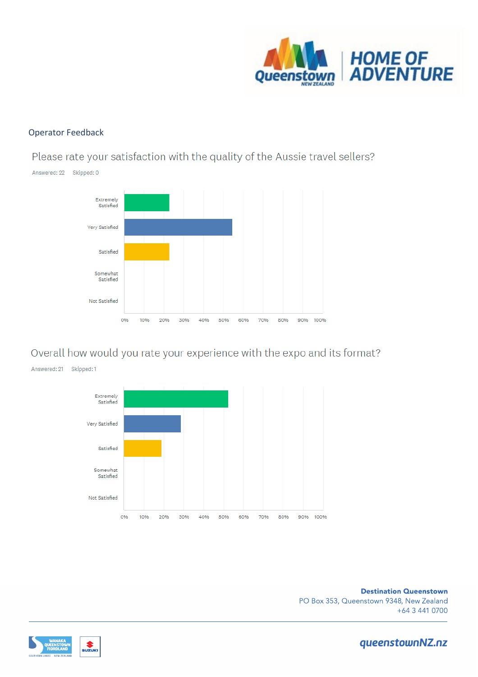

#### **Operator Feedback**

Please rate your satisfaction with the quality of the Aussie travel sellers?



## Overall how would you rate your experience with the expo and its format?



**Destination Queenstown** PO Box 353, Queenstown 9348, New Zealand +64 3 441 0700

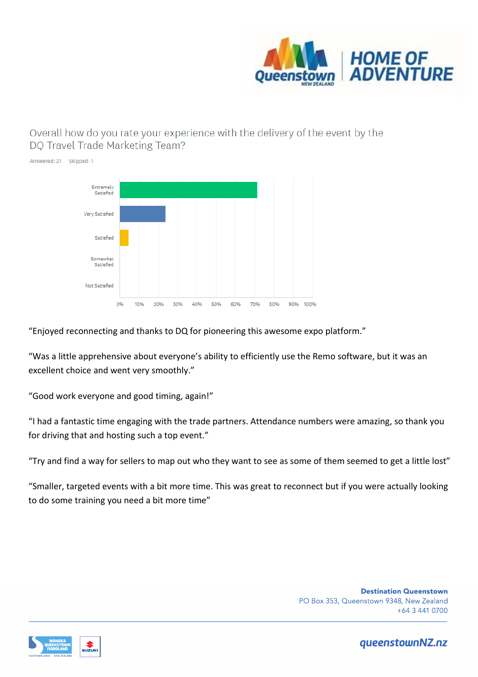

## Overall how do you rate your experience with the delivery of the event by the DO Travel Trade Marketing Team?



"Enjoyed reconnecting and thanks to DQ for pioneering this awesome expo platform."

"Was a little apprehensive about everyone's ability to efficiently use the Remo software, but it was an excellent choice and went very smoothly."

"Good work everyone and good timing, again!"

"I had a fantastic time engaging with the trade partners. Attendance numbers were amazing, so thank you for driving that and hosting such a top event."

"Try and find a way for sellers to map out who they want to see as some of them seemed to get a little lost"

"Smaller, targeted events with a bit more time. This was great to reconnect but if you were actually looking to do some training you need a bit more time"

> **Destination Queenstown** PO Box 353, Queenstown 9348, New Zealand +64 3 441 0700